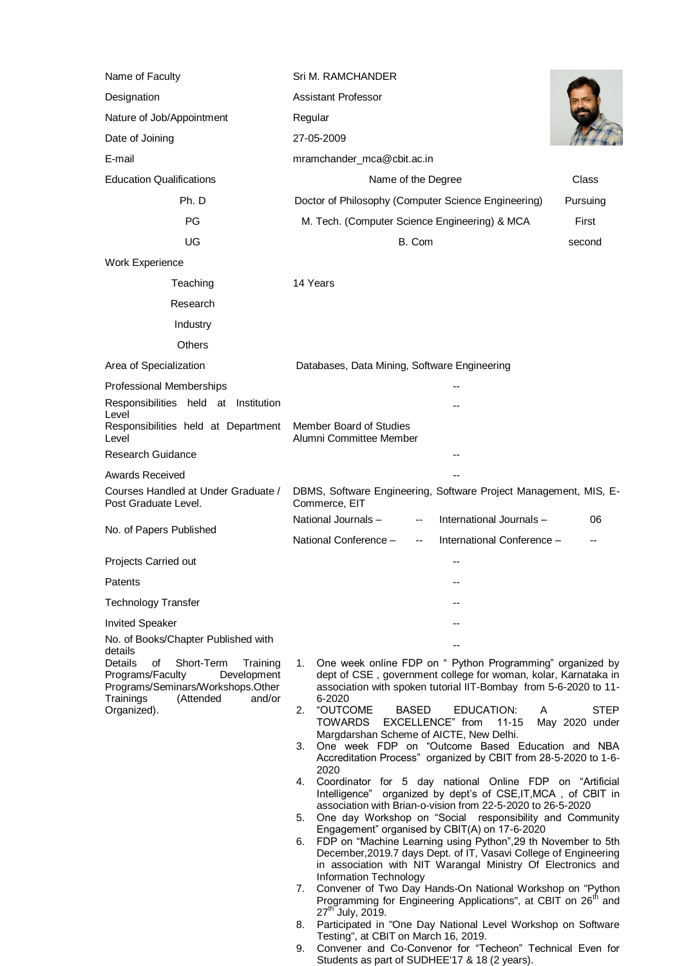| Name of Faculty                                                                                                                                                           | Sri M. RAMCHANDER                                                                                                                                                                                                                                                                   |
|---------------------------------------------------------------------------------------------------------------------------------------------------------------------------|-------------------------------------------------------------------------------------------------------------------------------------------------------------------------------------------------------------------------------------------------------------------------------------|
| Designation                                                                                                                                                               | <b>Assistant Professor</b>                                                                                                                                                                                                                                                          |
| Nature of Job/Appointment                                                                                                                                                 | Regular                                                                                                                                                                                                                                                                             |
| Date of Joining                                                                                                                                                           | 27-05-2009                                                                                                                                                                                                                                                                          |
| E-mail                                                                                                                                                                    | mramchander_mca@cbit.ac.in                                                                                                                                                                                                                                                          |
| <b>Education Qualifications</b>                                                                                                                                           | Class<br>Name of the Degree                                                                                                                                                                                                                                                         |
| Ph. D                                                                                                                                                                     | Doctor of Philosophy (Computer Science Engineering)<br>Pursuing                                                                                                                                                                                                                     |
| PG                                                                                                                                                                        | M. Tech. (Computer Science Engineering) & MCA<br>First                                                                                                                                                                                                                              |
| UG                                                                                                                                                                        | B. Com<br>second                                                                                                                                                                                                                                                                    |
| Work Experience                                                                                                                                                           |                                                                                                                                                                                                                                                                                     |
| Teaching                                                                                                                                                                  | 14 Years                                                                                                                                                                                                                                                                            |
| Research                                                                                                                                                                  |                                                                                                                                                                                                                                                                                     |
| Industry                                                                                                                                                                  |                                                                                                                                                                                                                                                                                     |
| <b>Others</b>                                                                                                                                                             |                                                                                                                                                                                                                                                                                     |
| Area of Specialization                                                                                                                                                    | Databases, Data Mining, Software Engineering                                                                                                                                                                                                                                        |
| Professional Memberships                                                                                                                                                  |                                                                                                                                                                                                                                                                                     |
| Responsibilities held at Institution                                                                                                                                      |                                                                                                                                                                                                                                                                                     |
| Level<br>Responsibilities held at Department                                                                                                                              | Member Board of Studies                                                                                                                                                                                                                                                             |
| Level                                                                                                                                                                     | Alumni Committee Member                                                                                                                                                                                                                                                             |
| Research Guidance                                                                                                                                                         |                                                                                                                                                                                                                                                                                     |
| <b>Awards Received</b>                                                                                                                                                    |                                                                                                                                                                                                                                                                                     |
| Courses Handled at Under Graduate /<br>Post Graduate Level.                                                                                                               | DBMS, Software Engineering, Software Project Management, MIS, E-<br>Commerce, EIT                                                                                                                                                                                                   |
| No. of Papers Published                                                                                                                                                   | National Journals -<br>International Journals-<br>06<br>--                                                                                                                                                                                                                          |
|                                                                                                                                                                           | National Conference -<br>International Conference -<br>--                                                                                                                                                                                                                           |
| Projects Carried out                                                                                                                                                      |                                                                                                                                                                                                                                                                                     |
| Patents                                                                                                                                                                   | --                                                                                                                                                                                                                                                                                  |
| <b>Technology Transfer</b>                                                                                                                                                |                                                                                                                                                                                                                                                                                     |
| <b>Invited Speaker</b>                                                                                                                                                    |                                                                                                                                                                                                                                                                                     |
| No. of Books/Chapter Published with<br>details                                                                                                                            |                                                                                                                                                                                                                                                                                     |
| <b>Details</b><br>of<br>Short-Term<br>Training<br>Programs/Faculty<br>Development<br>Programs/Seminars/Workshops.Other<br>Trainings<br>(Attended<br>and/or<br>Organized). | One week online FDP on " Python Programming" organized by<br>1.<br>dept of CSE, government college for woman, kolar, Karnataka in<br>association with spoken tutorial IIT-Bombay from 5-6-2020 to 11-<br>6-2020<br>"OUTCOME<br><b>BASED</b><br>EDUCATION:<br>A<br>2.<br><b>STEP</b> |
|                                                                                                                                                                           | EXCELLENCE" from<br><b>TOWARDS</b><br>$11 - 15$<br>May 2020 under<br>Margdarshan Scheme of AICTE, New Delhi.<br>One week FDP on "Outcome Based Education and NBA<br>3.                                                                                                              |
|                                                                                                                                                                           | Accreditation Process" organized by CBIT from 28-5-2020 to 1-6-<br>2020                                                                                                                                                                                                             |
|                                                                                                                                                                           | Coordinator for 5 day national Online FDP on "Artificial<br>4.<br>Intelligence" organized by dept's of CSE, IT, MCA, of CBIT in<br>association with Brian-o-vision from 22-5-2020 to 26-5-2020                                                                                      |
|                                                                                                                                                                           | One day Workshop on "Social responsibility and Community<br>5.<br>Engagement" organised by CBIT(A) on 17-6-2020                                                                                                                                                                     |
|                                                                                                                                                                           | FDP on "Machine Learning using Python",29 th November to 5th<br>6.<br>December, 2019.7 days Dept. of IT, Vasavi College of Engineering<br>in association with NIT Warangal Ministry Of Electronics and                                                                              |
|                                                                                                                                                                           | Information Technology<br>Convener of Two Day Hands-On National Workshop on "Python<br>7.<br>Programming for Engineering Applications", at CBIT on 26 <sup>th</sup> and                                                                                                             |
|                                                                                                                                                                           | 27 <sup>th</sup> July, 2019.<br>Participated in "One Day National Level Workshop on Software<br>8.<br>Testing", at CBIT on March 16, 2019.                                                                                                                                          |
|                                                                                                                                                                           | Convener and Co-Convenor for "Techeon" Technical Even for<br>9.<br>Students as part of SUDHEE'17 & 18 (2 years).                                                                                                                                                                    |